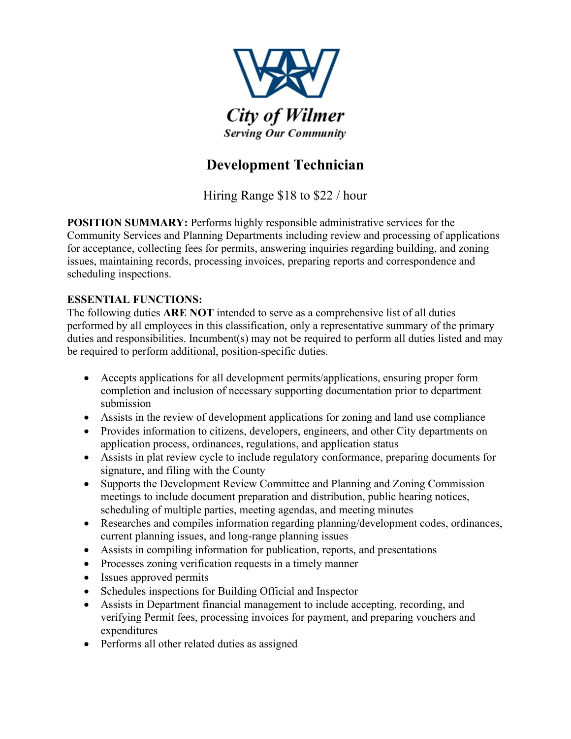

## **Development Technician**

Hiring Range \$18 to \$22 / hour

**POSITION SUMMARY:** Performs highly responsible administrative services for the Community Services and Planning Departments including review and processing of applications for acceptance, collecting fees for permits, answering inquiries regarding building, and zoning issues, maintaining records, processing invoices, preparing reports and correspondence and scheduling inspections.

## **ESSENTIAL FUNCTIONS:**

The following duties **ARE NOT** intended to serve as a comprehensive list of all duties performed by all employees in this classification, only a representative summary of the primary duties and responsibilities. Incumbent(s) may not be required to perform all duties listed and may be required to perform additional, position-specific duties.

- Accepts applications for all development permits/applications, ensuring proper form completion and inclusion of necessary supporting documentation prior to department submission
- Assists in the review of development applications for zoning and land use compliance
- Provides information to citizens, developers, engineers, and other City departments on application process, ordinances, regulations, and application status
- Assists in plat review cycle to include regulatory conformance, preparing documents for signature, and filing with the County
- Supports the Development Review Committee and Planning and Zoning Commission meetings to include document preparation and distribution, public hearing notices, scheduling of multiple parties, meeting agendas, and meeting minutes
- Researches and compiles information regarding planning/development codes, ordinances, current planning issues, and long-range planning issues
- Assists in compiling information for publication, reports, and presentations
- Processes zoning verification requests in a timely manner
- Issues approved permits
- Schedules inspections for Building Official and Inspector
- Assists in Department financial management to include accepting, recording, and verifying Permit fees, processing invoices for payment, and preparing vouchers and expenditures
- Performs all other related duties as assigned